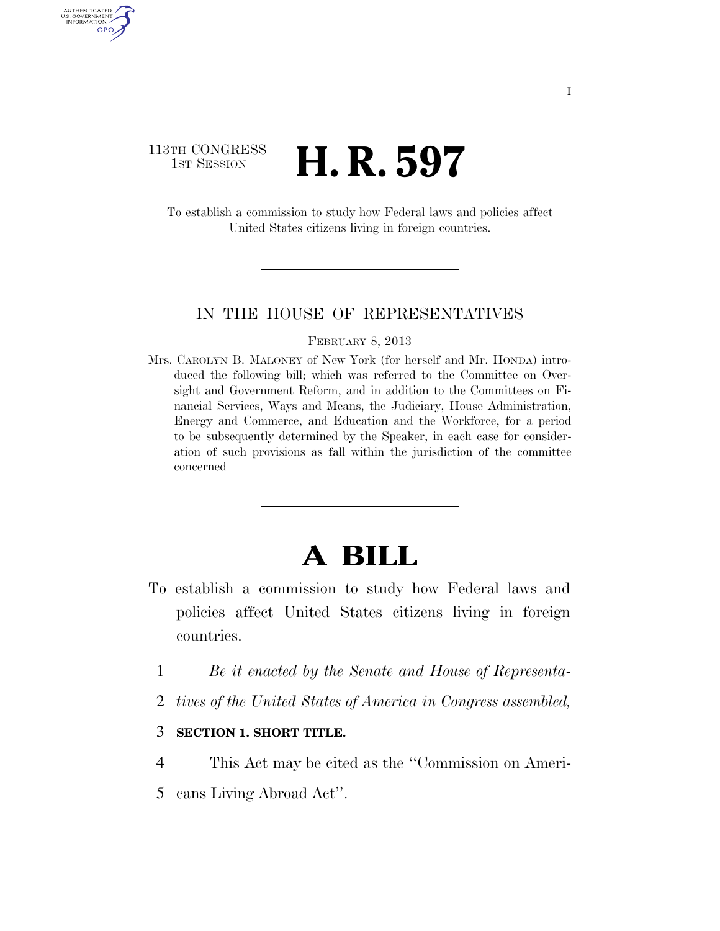## 113TH CONGRESS **1st Session H. R. 597**

AUTHENTICATED U.S. GOVERNMENT GPO

> To establish a commission to study how Federal laws and policies affect United States citizens living in foreign countries.

## IN THE HOUSE OF REPRESENTATIVES

#### FEBRUARY 8, 2013

Mrs. CAROLYN B. MALONEY of New York (for herself and Mr. HONDA) introduced the following bill; which was referred to the Committee on Oversight and Government Reform, and in addition to the Committees on Financial Services, Ways and Means, the Judiciary, House Administration, Energy and Commerce, and Education and the Workforce, for a period to be subsequently determined by the Speaker, in each case for consideration of such provisions as fall within the jurisdiction of the committee concerned

# **A BILL**

- To establish a commission to study how Federal laws and policies affect United States citizens living in foreign countries.
	- 1 *Be it enacted by the Senate and House of Representa-*
	- 2 *tives of the United States of America in Congress assembled,*

## 3 **SECTION 1. SHORT TITLE.**

- 4 This Act may be cited as the ''Commission on Ameri-
- 5 cans Living Abroad Act''.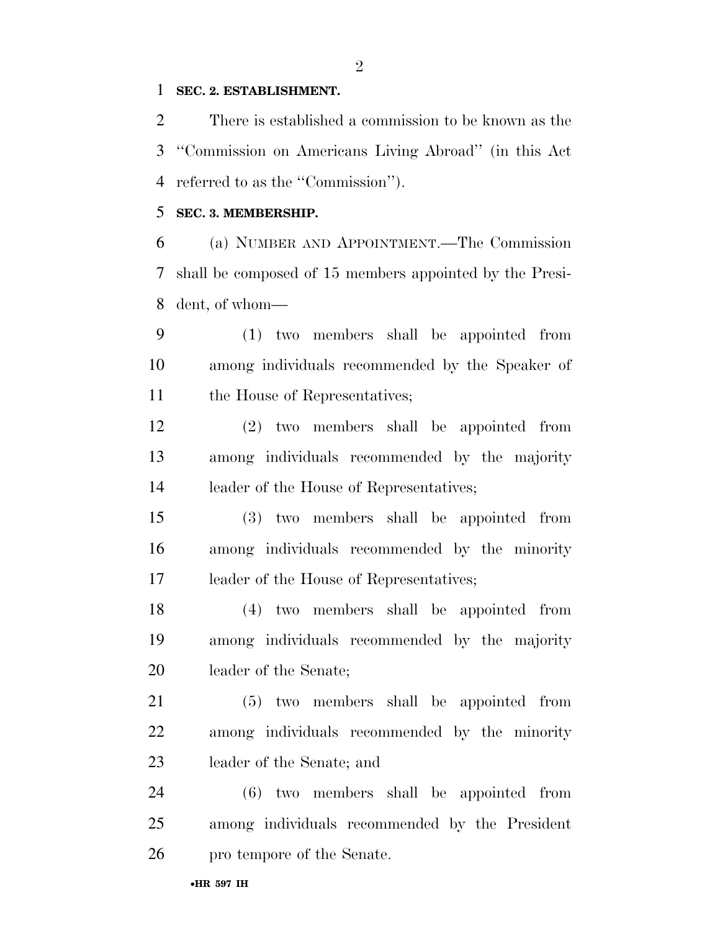## **SEC. 2. ESTABLISHMENT.**

 There is established a commission to be known as the ''Commission on Americans Living Abroad'' (in this Act referred to as the ''Commission'').

## **SEC. 3. MEMBERSHIP.**

 (a) NUMBER AND APPOINTMENT.—The Commission shall be composed of 15 members appointed by the Presi-dent, of whom—

 (1) two members shall be appointed from among individuals recommended by the Speaker of 11 the House of Representatives;

 (2) two members shall be appointed from among individuals recommended by the majority leader of the House of Representatives;

 (3) two members shall be appointed from among individuals recommended by the minority leader of the House of Representatives;

 (4) two members shall be appointed from among individuals recommended by the majority leader of the Senate;

 (5) two members shall be appointed from among individuals recommended by the minority leader of the Senate; and

 (6) two members shall be appointed from among individuals recommended by the President pro tempore of the Senate.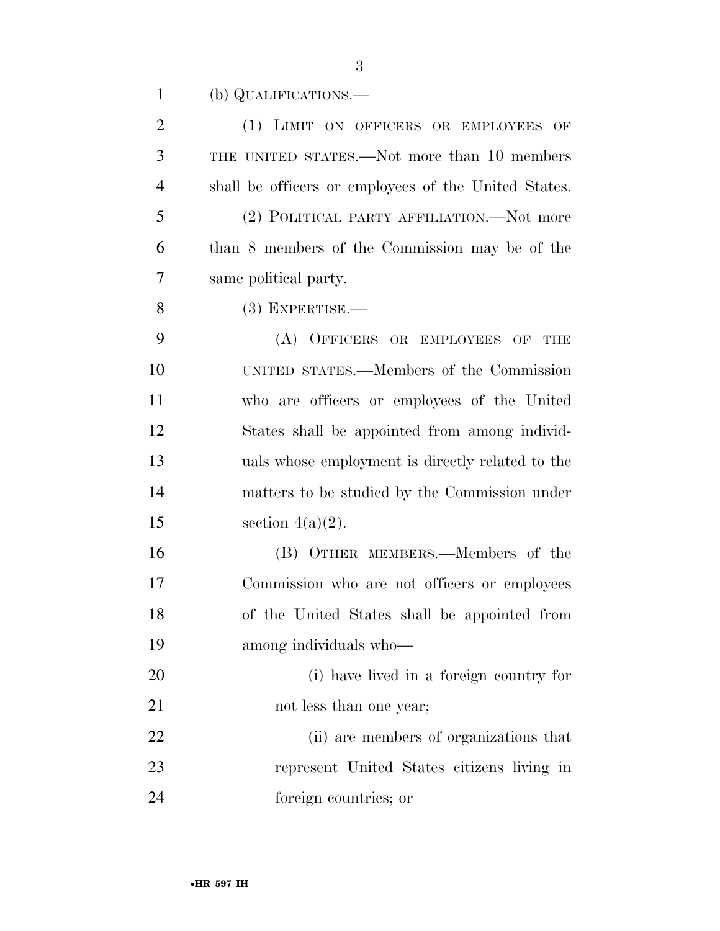(b) QUALIFICATIONS.—

| $\overline{2}$ | (1) LIMIT ON OFFICERS OR EMPLOYEES OF                |
|----------------|------------------------------------------------------|
| 3              | THE UNITED STATES.—Not more than 10 members          |
| $\overline{4}$ | shall be officers or employees of the United States. |
| 5              | (2) POLITICAL PARTY AFFILIATION.—Not more            |
| 6              | than 8 members of the Commission may be of the       |
| 7              | same political party.                                |
| 8              | $(3)$ EXPERTISE.—                                    |
| 9              | (A) OFFICERS OR EMPLOYEES OF THE                     |
| 10             | UNITED STATES.—Members of the Commission             |
| 11             | who are officers or employees of the United          |
| 12             | States shall be appointed from among individ-        |
| 13             | uals whose employment is directly related to the     |
| 14             | matters to be studied by the Commission under        |
| 15             | section $4(a)(2)$ .                                  |
| 16             | (B) OTHER MEMBERS.—Members of the                    |
| 17             | Commission who are not officers or employees         |
| 18             | of the United States shall be appointed from         |
| 19             | among individuals who-                               |
| 20             | (i) have lived in a foreign country for              |
| 21             | not less than one year;                              |
| 22             | (ii) are members of organizations that               |
| 23             | represent United States citizens living in           |
| 24             | foreign countries; or                                |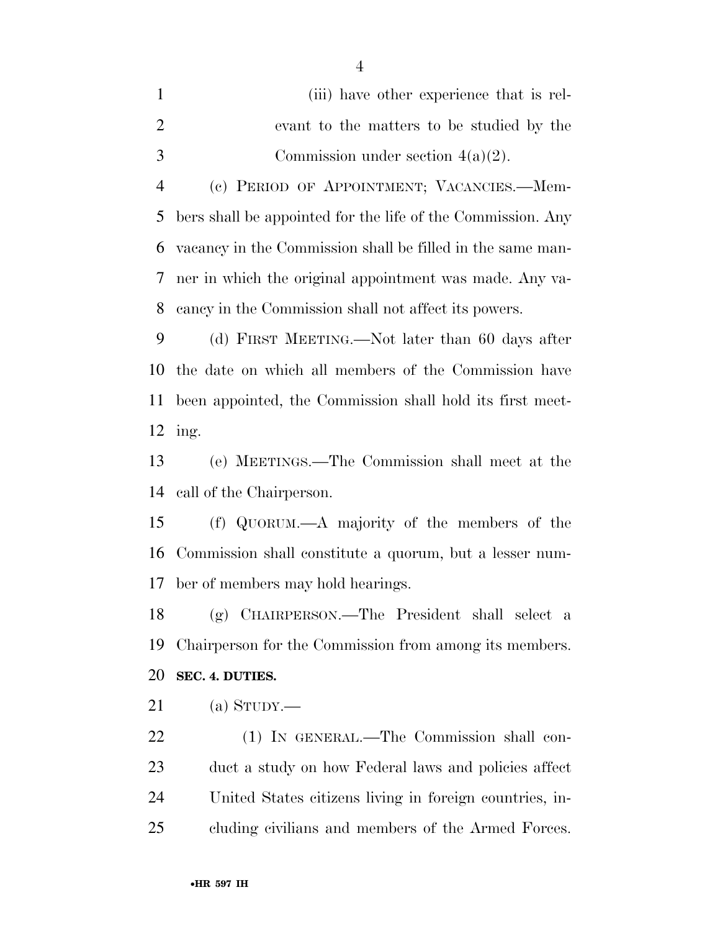|               | (iii) have other experience that is rel-  |
|---------------|-------------------------------------------|
|               | evant to the matters to be studied by the |
| $\mathcal{R}$ | Commission under section $4(a)(2)$ .      |

 (c) PERIOD OF APPOINTMENT; VACANCIES.—Mem- bers shall be appointed for the life of the Commission. Any vacancy in the Commission shall be filled in the same man- ner in which the original appointment was made. Any va-cancy in the Commission shall not affect its powers.

 (d) FIRST MEETING.—Not later than 60 days after the date on which all members of the Commission have been appointed, the Commission shall hold its first meet-ing.

 (e) MEETINGS.—The Commission shall meet at the call of the Chairperson.

 (f) QUORUM.—A majority of the members of the Commission shall constitute a quorum, but a lesser num-ber of members may hold hearings.

 (g) CHAIRPERSON.—The President shall select a Chairperson for the Commission from among its members.

## **SEC. 4. DUTIES.**

(a) STUDY.—

 (1) IN GENERAL.—The Commission shall con- duct a study on how Federal laws and policies affect United States citizens living in foreign countries, in-cluding civilians and members of the Armed Forces.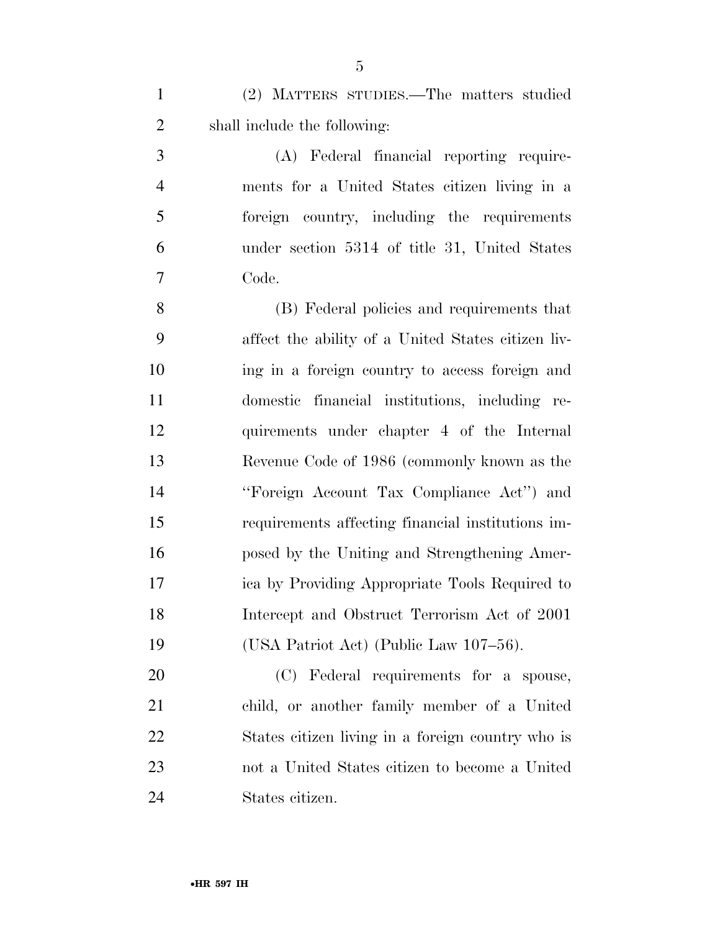(2) MATTERS STUDIES.—The matters studied shall include the following:

 (A) Federal financial reporting require- ments for a United States citizen living in a foreign country, including the requirements under section 5314 of title 31, United States Code.

 (B) Federal policies and requirements that affect the ability of a United States citizen liv- ing in a foreign country to access foreign and domestic financial institutions, including re- quirements under chapter 4 of the Internal Revenue Code of 1986 (commonly known as the ''Foreign Account Tax Compliance Act'') and requirements affecting financial institutions im- posed by the Uniting and Strengthening Amer- ica by Providing Appropriate Tools Required to Intercept and Obstruct Terrorism Act of 2001 (USA Patriot Act) (Public Law 107–56).

 (C) Federal requirements for a spouse, child, or another family member of a United States citizen living in a foreign country who is not a United States citizen to become a United States citizen.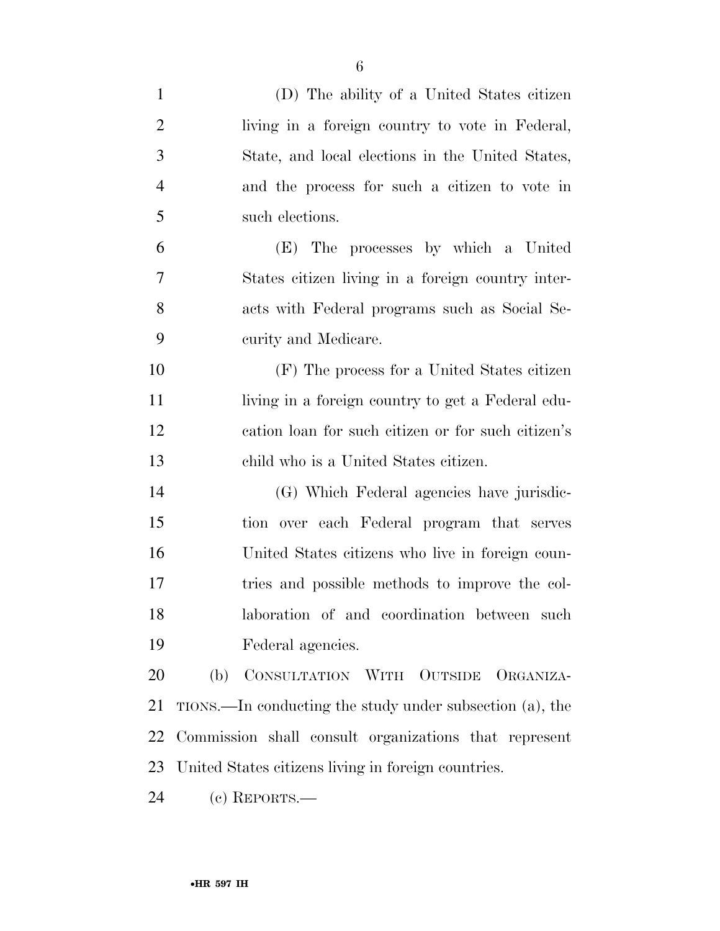| $\mathbf{1}$   | (D) The ability of a United States citizen               |
|----------------|----------------------------------------------------------|
| $\overline{2}$ | living in a foreign country to vote in Federal,          |
| 3              | State, and local elections in the United States,         |
| $\overline{4}$ | and the process for such a citizen to vote in            |
| 5              | such elections.                                          |
| 6              | The processes by which a United<br>(E)                   |
| 7              | States citizen living in a foreign country inter-        |
| 8              | acts with Federal programs such as Social Se-            |
| 9              | curity and Medicare.                                     |
| 10             | (F) The process for a United States citizen              |
| 11             | living in a foreign country to get a Federal edu-        |
| 12             | cation loan for such citizen or for such citizen's       |
| 13             | child who is a United States citizen.                    |
| 14             | (G) Which Federal agencies have jurisdic-                |
| 15             | tion over each Federal program that serves               |
| 16             | United States citizens who live in foreign coun-         |
| 17             | tries and possible methods to improve the col-           |
| 18             | laboration of and coordination between such              |
| 19             | Federal agencies.                                        |
| 20             | (b) CONSULTATION WITH OUTSIDE ORGANIZA-                  |
| 21             | TIONS.—In conducting the study under subsection (a), the |
| 22             | Commission shall consult organizations that represent    |
| 23             | United States citizens living in foreign countries.      |
| 24             | $(c)$ REPORTS.—                                          |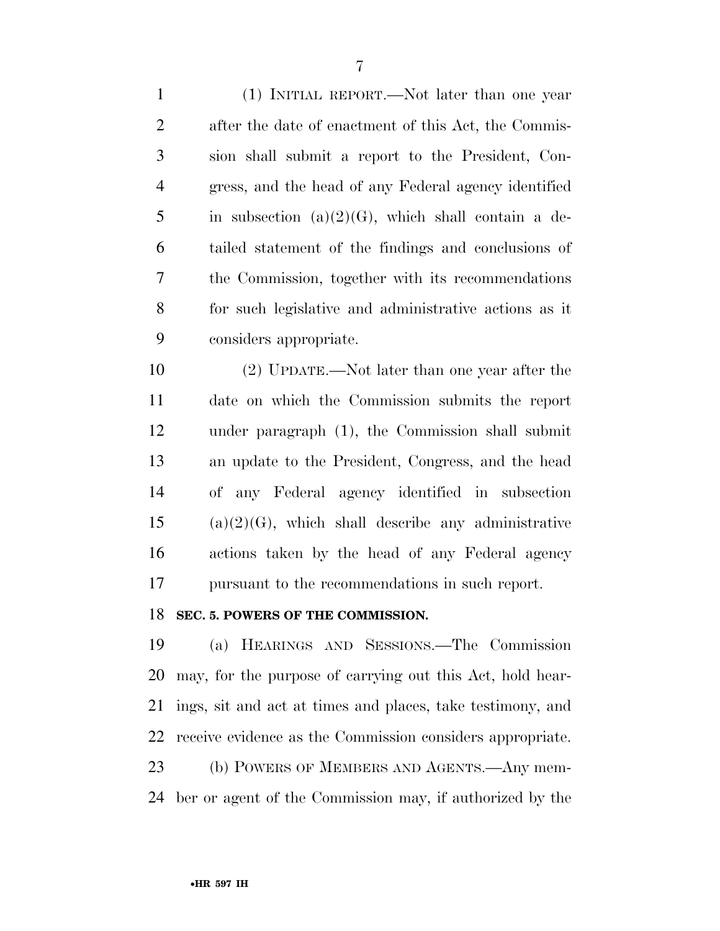(1) INITIAL REPORT.—Not later than one year after the date of enactment of this Act, the Commis- sion shall submit a report to the President, Con- gress, and the head of any Federal agency identified 5 in subsection (a) $(2)(G)$ , which shall contain a de- tailed statement of the findings and conclusions of the Commission, together with its recommendations for such legislative and administrative actions as it considers appropriate.

 (2) UPDATE.—Not later than one year after the date on which the Commission submits the report under paragraph (1), the Commission shall submit an update to the President, Congress, and the head of any Federal agency identified in subsection (a)(2)(G), which shall describe any administrative actions taken by the head of any Federal agency pursuant to the recommendations in such report.

## **SEC. 5. POWERS OF THE COMMISSION.**

 (a) HEARINGS AND SESSIONS.—The Commission may, for the purpose of carrying out this Act, hold hear- ings, sit and act at times and places, take testimony, and receive evidence as the Commission considers appropriate. (b) POWERS OF MEMBERS AND AGENTS.—Any mem-

ber or agent of the Commission may, if authorized by the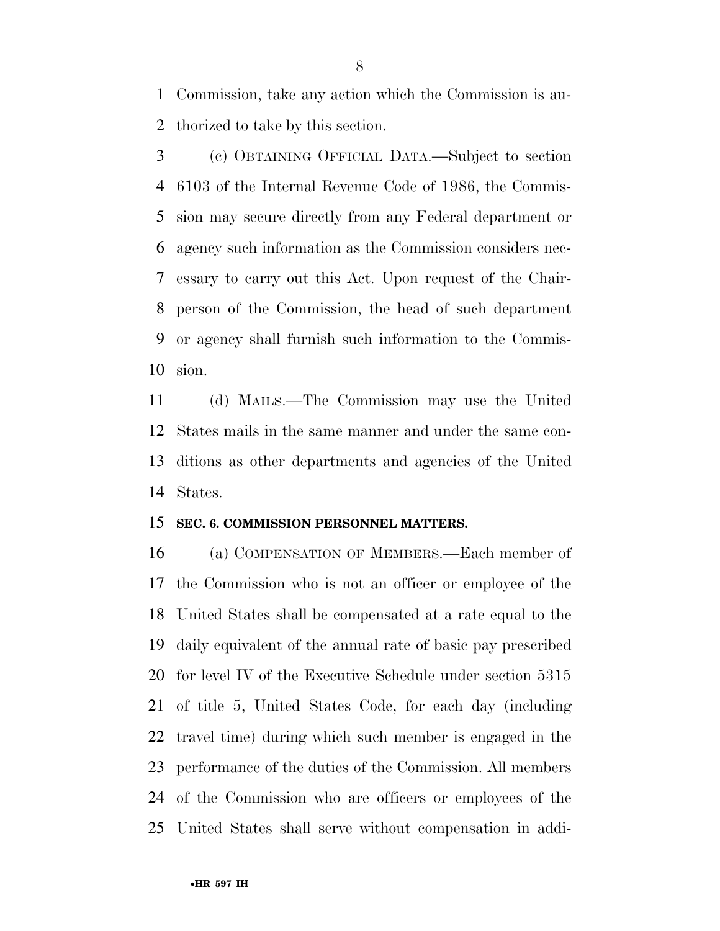Commission, take any action which the Commission is au-thorized to take by this section.

 (c) OBTAINING OFFICIAL DATA.—Subject to section 6103 of the Internal Revenue Code of 1986, the Commis- sion may secure directly from any Federal department or agency such information as the Commission considers nec- essary to carry out this Act. Upon request of the Chair- person of the Commission, the head of such department or agency shall furnish such information to the Commis-sion.

 (d) MAILS.—The Commission may use the United States mails in the same manner and under the same con- ditions as other departments and agencies of the United States.

## **SEC. 6. COMMISSION PERSONNEL MATTERS.**

 (a) COMPENSATION OF MEMBERS.—Each member of the Commission who is not an officer or employee of the United States shall be compensated at a rate equal to the daily equivalent of the annual rate of basic pay prescribed for level IV of the Executive Schedule under section 5315 of title 5, United States Code, for each day (including travel time) during which such member is engaged in the performance of the duties of the Commission. All members of the Commission who are officers or employees of the United States shall serve without compensation in addi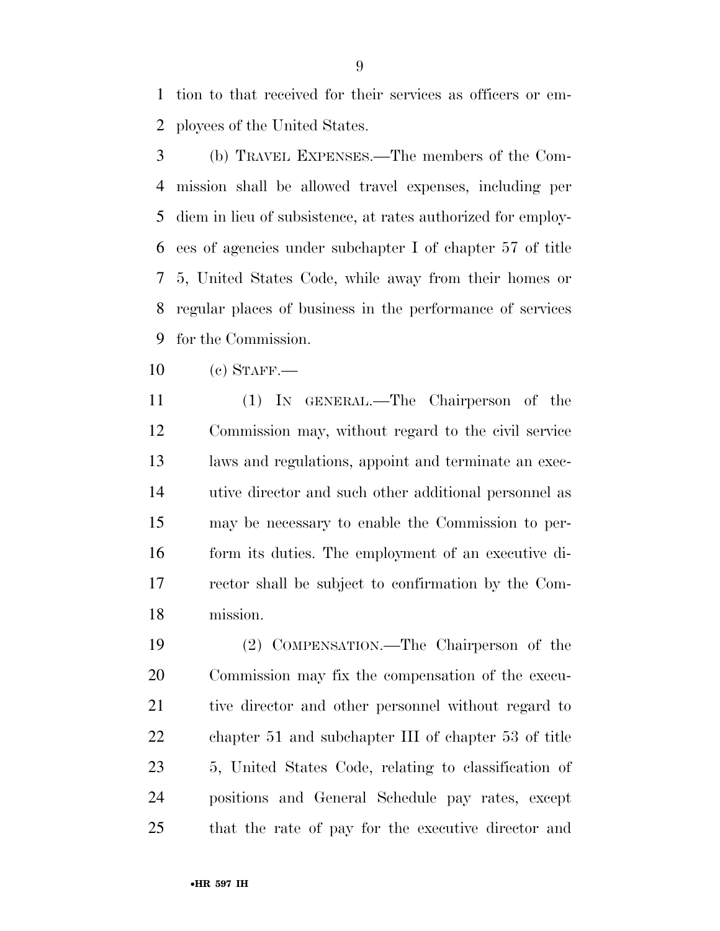tion to that received for their services as officers or em-ployees of the United States.

- (b) TRAVEL EXPENSES.—The members of the Com- mission shall be allowed travel expenses, including per diem in lieu of subsistence, at rates authorized for employ- ees of agencies under subchapter I of chapter 57 of title 5, United States Code, while away from their homes or regular places of business in the performance of services for the Commission.
- (c) STAFF.—
- (1) IN GENERAL.—The Chairperson of the Commission may, without regard to the civil service laws and regulations, appoint and terminate an exec- utive director and such other additional personnel as may be necessary to enable the Commission to per- form its duties. The employment of an executive di- rector shall be subject to confirmation by the Com-mission.

 (2) COMPENSATION.—The Chairperson of the Commission may fix the compensation of the execu- tive director and other personnel without regard to chapter 51 and subchapter III of chapter 53 of title 5, United States Code, relating to classification of positions and General Schedule pay rates, except that the rate of pay for the executive director and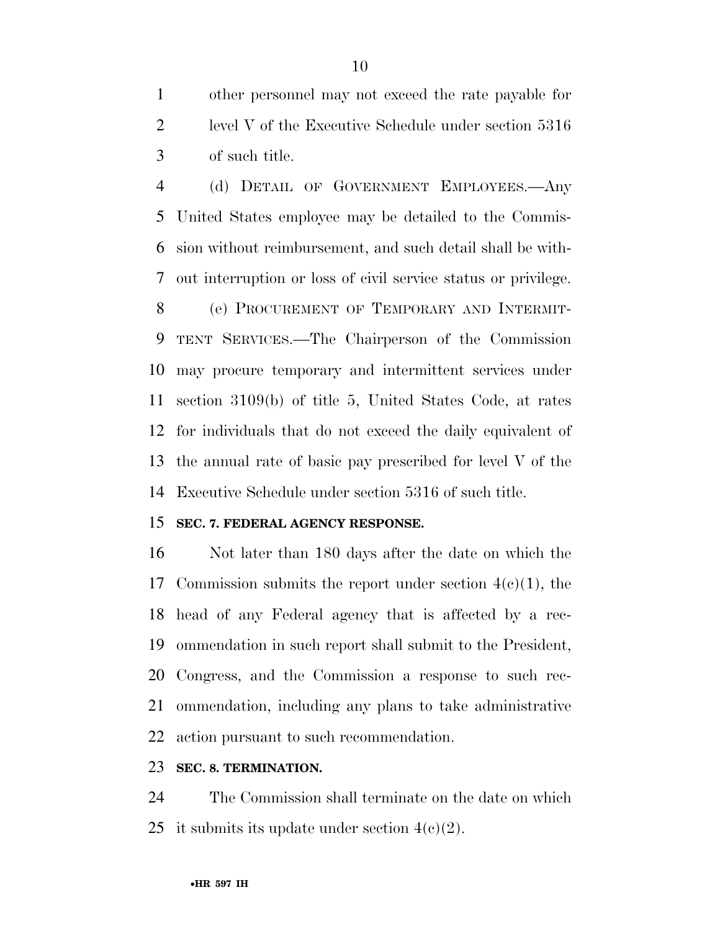other personnel may not exceed the rate payable for level V of the Executive Schedule under section 5316 of such title.

 (d) DETAIL OF GOVERNMENT EMPLOYEES.—Any United States employee may be detailed to the Commis- sion without reimbursement, and such detail shall be with-out interruption or loss of civil service status or privilege.

 (e) PROCUREMENT OF TEMPORARY AND INTERMIT- TENT SERVICES.—The Chairperson of the Commission may procure temporary and intermittent services under section 3109(b) of title 5, United States Code, at rates for individuals that do not exceed the daily equivalent of the annual rate of basic pay prescribed for level V of the Executive Schedule under section 5316 of such title.

## **SEC. 7. FEDERAL AGENCY RESPONSE.**

 Not later than 180 days after the date on which the 17 Commission submits the report under section  $4(e)(1)$ , the head of any Federal agency that is affected by a rec- ommendation in such report shall submit to the President, Congress, and the Commission a response to such rec- ommendation, including any plans to take administrative action pursuant to such recommendation.

## **SEC. 8. TERMINATION.**

 The Commission shall terminate on the date on which 25 it submits its update under section  $4(c)(2)$ .